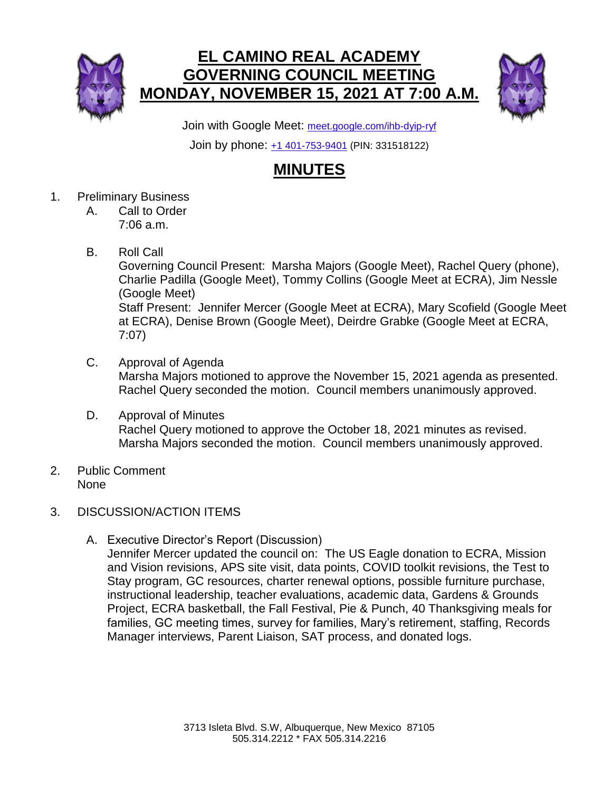



Join with Google Meet: [meet.google.com/ihb-dyip-ryf](https://meet.google.com/ihb-dyip-ryf?hs=224)

Join by phone: [+1 401-753-9401](tel:+1-401-753-9401;331518122) (PIN: 331518122)

## **MINUTES**

- 1. Preliminary Business
	- A. Call to Order 7:06 a.m.
	- B. Roll Call

Governing Council Present: Marsha Majors (Google Meet), Rachel Query (phone), Charlie Padilla (Google Meet), Tommy Collins (Google Meet at ECRA), Jim Nessle (Google Meet) Staff Present: Jennifer Mercer (Google Meet at ECRA), Mary Scofield (Google Meet at ECRA), Denise Brown (Google Meet), Deirdre Grabke (Google Meet at ECRA, 7:07)

- C. Approval of Agenda Marsha Majors motioned to approve the November 15, 2021 agenda as presented. Rachel Query seconded the motion. Council members unanimously approved.
- D. Approval of Minutes Rachel Query motioned to approve the October 18, 2021 minutes as revised. Marsha Majors seconded the motion. Council members unanimously approved.
- 2. Public Comment None
- 3. DISCUSSION/ACTION ITEMS
	- A. Executive Director's Report (Discussion)

Jennifer Mercer updated the council on: The US Eagle donation to ECRA, Mission and Vision revisions, APS site visit, data points, COVID toolkit revisions, the Test to Stay program, GC resources, charter renewal options, possible furniture purchase, instructional leadership, teacher evaluations, academic data, Gardens & Grounds Project, ECRA basketball, the Fall Festival, Pie & Punch, 40 Thanksgiving meals for families, GC meeting times, survey for families, Mary's retirement, staffing, Records Manager interviews, Parent Liaison, SAT process, and donated logs.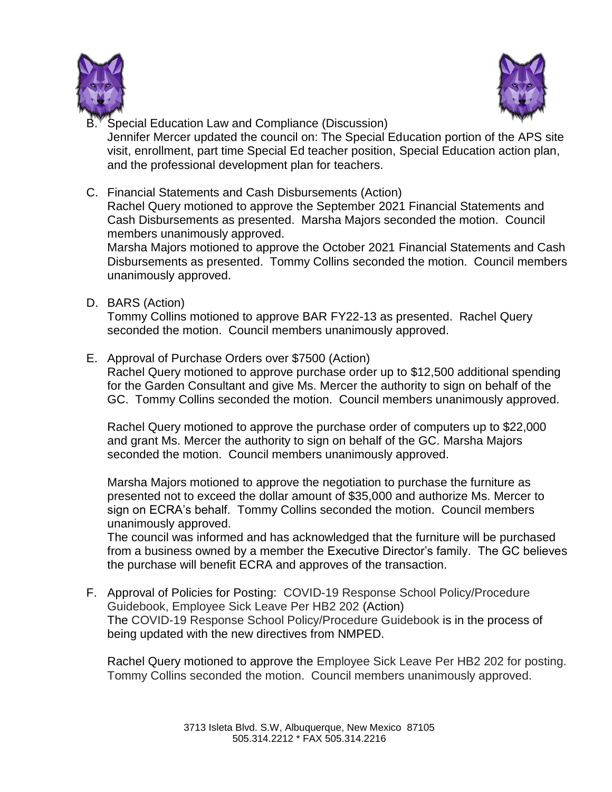



- Special Education Law and Compliance (Discussion) Jennifer Mercer updated the council on: The Special Education portion of the APS site visit, enrollment, part time Special Ed teacher position, Special Education action plan, and the professional development plan for teachers.
- C. Financial Statements and Cash Disbursements (Action) Rachel Query motioned to approve the September 2021 Financial Statements and Cash Disbursements as presented. Marsha Majors seconded the motion. Council members unanimously approved.

Marsha Majors motioned to approve the October 2021 Financial Statements and Cash Disbursements as presented. Tommy Collins seconded the motion. Council members unanimously approved.

D. BARS (Action)

Tommy Collins motioned to approve BAR FY22-13 as presented. Rachel Query seconded the motion. Council members unanimously approved.

E. Approval of Purchase Orders over \$7500 (Action)

Rachel Query motioned to approve purchase order up to \$12,500 additional spending for the Garden Consultant and give Ms. Mercer the authority to sign on behalf of the GC. Tommy Collins seconded the motion. Council members unanimously approved.

Rachel Query motioned to approve the purchase order of computers up to \$22,000 and grant Ms. Mercer the authority to sign on behalf of the GC. Marsha Majors seconded the motion. Council members unanimously approved.

Marsha Majors motioned to approve the negotiation to purchase the furniture as presented not to exceed the dollar amount of \$35,000 and authorize Ms. Mercer to sign on ECRA's behalf. Tommy Collins seconded the motion. Council members unanimously approved.

The council was informed and has acknowledged that the furniture will be purchased from a business owned by a member the Executive Director's family. The GC believes the purchase will benefit ECRA and approves of the transaction.

F. Approval of Policies for Posting: COVID-19 Response School Policy/Procedure Guidebook, Employee Sick Leave Per HB2 202 (Action) The COVID-19 Response School Policy/Procedure Guidebook is in the process of being updated with the new directives from NMPED.

Rachel Query motioned to approve the Employee Sick Leave Per HB2 202 for posting. Tommy Collins seconded the motion. Council members unanimously approved.